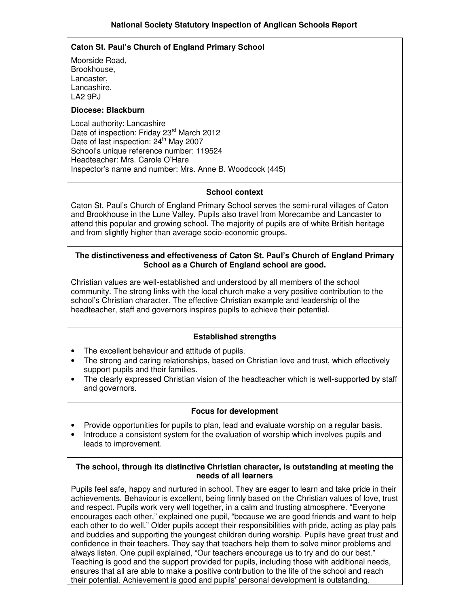### **Caton St. Paul's Church of England Primary School**

Moorside Road, Brookhouse, Lancaster, Lancashire. LA2 9PJ

### **Diocese: Blackburn**

Local authority: Lancashire Date of inspection: Friday 23<sup>rd</sup> March 2012 Date of last inspection: 24<sup>th</sup> May 2007 School's unique reference number: 119524 Headteacher: Mrs. Carole O'Hare Inspector's name and number: Mrs. Anne B. Woodcock (445)

## **School context**

Caton St. Paul's Church of England Primary School serves the semi-rural villages of Caton and Brookhouse in the Lune Valley. Pupils also travel from Morecambe and Lancaster to attend this popular and growing school. The majority of pupils are of white British heritage and from slightly higher than average socio-economic groups.

## **The distinctiveness and effectiveness of Caton St. Paul's Church of England Primary School as a Church of England school are good.**

Christian values are well-established and understood by all members of the school community. The strong links with the local church make a very positive contribution to the school's Christian character. The effective Christian example and leadership of the headteacher, staff and governors inspires pupils to achieve their potential.

### **Established strengths**

- The excellent behaviour and attitude of pupils.
- The strong and caring relationships, based on Christian love and trust, which effectively support pupils and their families.
- The clearly expressed Christian vision of the headteacher which is well-supported by staff and governors.

### **Focus for development**

- Provide opportunities for pupils to plan, lead and evaluate worship on a regular basis.
- Introduce a consistent system for the evaluation of worship which involves pupils and leads to improvement.

### **The school, through its distinctive Christian character, is outstanding at meeting the needs of all learners**

Pupils feel safe, happy and nurtured in school. They are eager to learn and take pride in their achievements. Behaviour is excellent, being firmly based on the Christian values of love, trust and respect. Pupils work very well together, in a calm and trusting atmosphere. "Everyone encourages each other," explained one pupil, "because we are good friends and want to help each other to do well." Older pupils accept their responsibilities with pride, acting as play pals and buddies and supporting the youngest children during worship. Pupils have great trust and confidence in their teachers. They say that teachers help them to solve minor problems and always listen. One pupil explained, "Our teachers encourage us to try and do our best." Teaching is good and the support provided for pupils, including those with additional needs, ensures that all are able to make a positive contribution to the life of the school and reach their potential. Achievement is good and pupils' personal development is outstanding.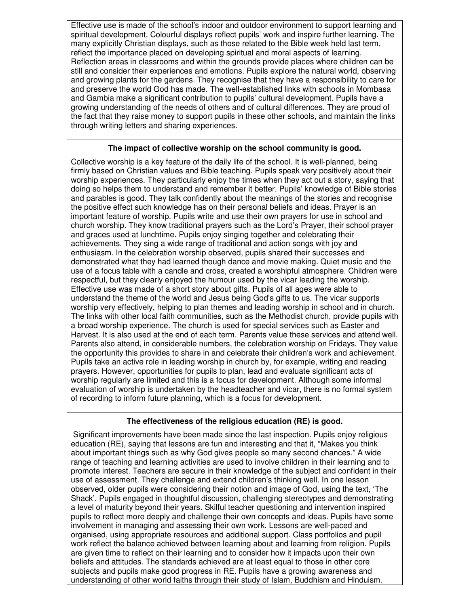Effective use is made of the school's indoor and outdoor environment to support learning and spiritual development. Colourful displays reflect pupils' work and inspire further learning. The many explicitly Christian displays, such as those related to the Bible week held last term, reflect the importance placed on developing spiritual and moral aspects of learning. Reflection areas in classrooms and within the grounds provide places where children can be still and consider their experiences and emotions. Pupils explore the natural world, observing and growing plants for the gardens. They recognise that they have a responsibility to care for and preserve the world God has made. The well-established links with schools in Mombasa and Gambia make a significant contribution to pupils' cultural development. Pupils have a growing understanding of the needs of others and of cultural differences. They are proud of the fact that they raise money to support pupils in these other schools, and maintain the links through writing letters and sharing experiences.

#### **The impact of collective worship on the school community is good.**

Collective worship is a key feature of the daily life of the school. It is well-planned, being firmly based on Christian values and Bible teaching. Pupils speak very positively about their worship experiences. They particularly enjoy the times when they act out a story, saying that doing so helps them to understand and remember it better. Pupils' knowledge of Bible stories and parables is good. They talk confidently about the meanings of the stories and recognise the positive effect such knowledge has on their personal beliefs and ideas. Prayer is an important feature of worship. Pupils write and use their own prayers for use in school and church worship. They know traditional prayers such as the Lord's Prayer, their school prayer and graces used at lunchtime. Pupils enjoy singing together and celebrating their achievements. They sing a wide range of traditional and action songs with joy and enthusiasm. In the celebration worship observed, pupils shared their successes and demonstrated what they had learned though dance and movie making. Quiet music and the use of a focus table with a candle and cross, created a worshipful atmosphere. Children were respectful, but they clearly enjoyed the humour used by the vicar leading the worship. Effective use was made of a short story about gifts. Pupils of all ages were able to understand the theme of the world and Jesus being God's gifts to us. The vicar supports worship very effectively, helping to plan themes and leading worship in school and in church. The links with other local faith communities, such as the Methodist church, provide pupils with a broad worship experience. The church is used for special services such as Easter and Harvest. It is also used at the end of each term. Parents value these services and attend well. Parents also attend, in considerable numbers, the celebration worship on Fridays. They value the opportunity this provides to share in and celebrate their children's work and achievement. Pupils take an active role in leading worship in church by, for example, writing and reading prayers. However, opportunities for pupils to plan, lead and evaluate significant acts of worship regularly are limited and this is a focus for development. Although some informal evaluation of worship is undertaken by the headteacher and vicar, there is no formal system of recording to inform future planning, which is a focus for development.

# **The effectiveness of the religious education (RE) is good.**

 Significant improvements have been made since the last inspection. Pupils enjoy religious education (RE), saying that lessons are fun and interesting and that it, "Makes you think about important things such as why God gives people so many second chances." A wide range of teaching and learning activities are used to involve children in their learning and to promote interest. Teachers are secure in their knowledge of the subject and confident in their use of assessment. They challenge and extend children's thinking well. In one lesson observed, older pupils were considering their notion and image of God, using the text, 'The Shack'. Pupils engaged in thoughtful discussion, challenging stereotypes and demonstrating a level of maturity beyond their years. Skilful teacher questioning and intervention inspired pupils to reflect more deeply and challenge their own concepts and ideas. Pupils have some involvement in managing and assessing their own work. Lessons are well-paced and organised, using appropriate resources and additional support. Class portfolios and pupil work reflect the balance achieved between learning about and learning from religion. Pupils are given time to reflect on their learning and to consider how it impacts upon their own beliefs and attitudes. The standards achieved are at least equal to those in other core subjects and pupils make good progress in RE. Pupils have a growing awareness and understanding of other world faiths through their study of Islam, Buddhism and Hinduism.